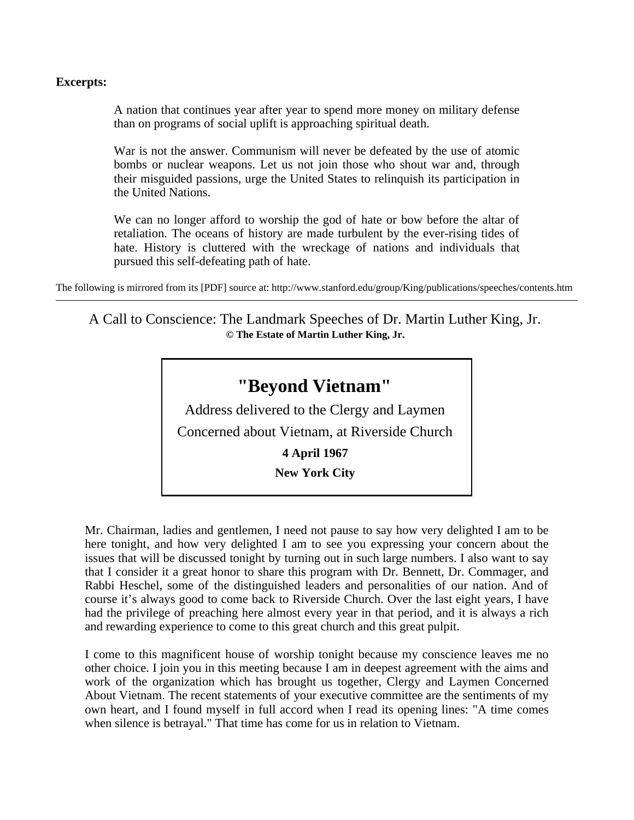## **Excerpts:**

A nation that continues year after year to spend more money on military defense than on programs of social uplift is approaching spiritual death.

War is not the answer. Communism will never be defeated by the use of atomic bombs or nuclear weapons. Let us not join those who shout war and, through their misguided passions, urge the United States to relinquish its participation in the United Nations.

We can no longer afford to worship the god of hate or bow before the altar of retaliation. The oceans of history are made turbulent by the ever-rising tides of hate. History is cluttered with the wreckage of nations and individuals that pursued this self-defeating path of hate.

The following is mirrored from its [PDF] source at: http://www.stanford.edu/group/King/publications/speeches/contents.htm

A Call to Conscience: The Landmark Speeches of Dr. Martin Luther King, Jr. **© The Estate of Martin Luther King, Jr.** 



Mr. Chairman, ladies and gentlemen, I need not pause to say how very delighted I am to be here tonight, and how very delighted I am to see you expressing your concern about the issues that will be discussed tonight by turning out in such large numbers. I also want to say that I consider it a great honor to share this program with Dr. Bennett, Dr. Commager, and Rabbi Heschel, some of the distinguished leaders and personalities of our nation. And of course it's always good to come back to Riverside Church. Over the last eight years, I have had the privilege of preaching here almost every year in that period, and it is always a rich and rewarding experience to come to this great church and this great pulpit.

I come to this magnificent house of worship tonight because my conscience leaves me no other choice. I join you in this meeting because I am in deepest agreement with the aims and work of the organization which has brought us together, Clergy and Laymen Concerned About Vietnam. The recent statements of your executive committee are the sentiments of my own heart, and I found myself in full accord when I read its opening lines: "A time comes when silence is betrayal." That time has come for us in relation to Vietnam.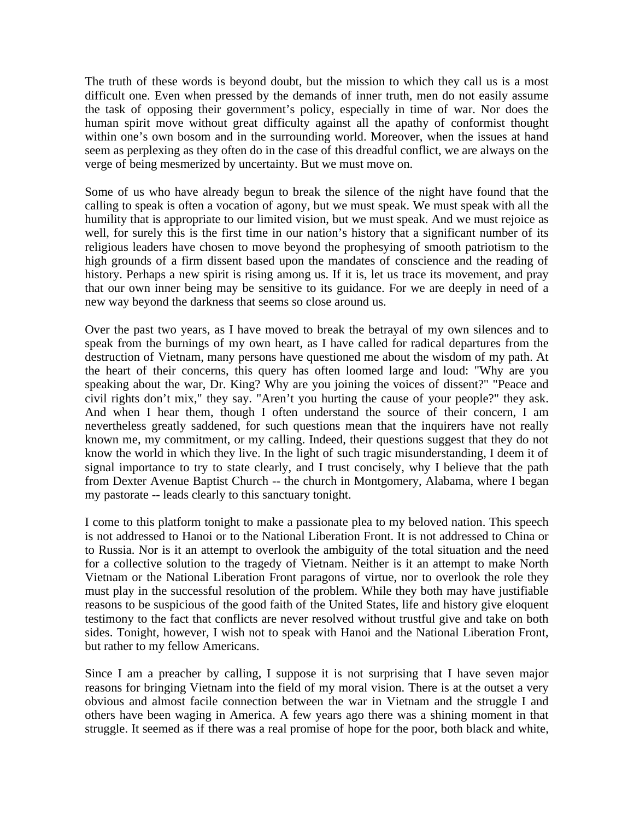The truth of these words is beyond doubt, but the mission to which they call us is a most difficult one. Even when pressed by the demands of inner truth, men do not easily assume the task of opposing their government's policy, especially in time of war. Nor does the human spirit move without great difficulty against all the apathy of conformist thought within one's own bosom and in the surrounding world. Moreover, when the issues at hand seem as perplexing as they often do in the case of this dreadful conflict, we are always on the verge of being mesmerized by uncertainty. But we must move on.

Some of us who have already begun to break the silence of the night have found that the calling to speak is often a vocation of agony, but we must speak. We must speak with all the humility that is appropriate to our limited vision, but we must speak. And we must rejoice as well, for surely this is the first time in our nation's history that a significant number of its religious leaders have chosen to move beyond the prophesying of smooth patriotism to the high grounds of a firm dissent based upon the mandates of conscience and the reading of history. Perhaps a new spirit is rising among us. If it is, let us trace its movement, and pray that our own inner being may be sensitive to its guidance. For we are deeply in need of a new way beyond the darkness that seems so close around us.

Over the past two years, as I have moved to break the betrayal of my own silences and to speak from the burnings of my own heart, as I have called for radical departures from the destruction of Vietnam, many persons have questioned me about the wisdom of my path. At the heart of their concerns, this query has often loomed large and loud: "Why are you speaking about the war, Dr. King? Why are you joining the voices of dissent?" "Peace and civil rights don't mix," they say. "Aren't you hurting the cause of your people?" they ask. And when I hear them, though I often understand the source of their concern, I am nevertheless greatly saddened, for such questions mean that the inquirers have not really known me, my commitment, or my calling. Indeed, their questions suggest that they do not know the world in which they live. In the light of such tragic misunderstanding, I deem it of signal importance to try to state clearly, and I trust concisely, why I believe that the path from Dexter Avenue Baptist Church -- the church in Montgomery, Alabama, where I began my pastorate -- leads clearly to this sanctuary tonight.

I come to this platform tonight to make a passionate plea to my beloved nation. This speech is not addressed to Hanoi or to the National Liberation Front. It is not addressed to China or to Russia. Nor is it an attempt to overlook the ambiguity of the total situation and the need for a collective solution to the tragedy of Vietnam. Neither is it an attempt to make North Vietnam or the National Liberation Front paragons of virtue, nor to overlook the role they must play in the successful resolution of the problem. While they both may have justifiable reasons to be suspicious of the good faith of the United States, life and history give eloquent testimony to the fact that conflicts are never resolved without trustful give and take on both sides. Tonight, however, I wish not to speak with Hanoi and the National Liberation Front, but rather to my fellow Americans.

Since I am a preacher by calling, I suppose it is not surprising that I have seven major reasons for bringing Vietnam into the field of my moral vision. There is at the outset a very obvious and almost facile connection between the war in Vietnam and the struggle I and others have been waging in America. A few years ago there was a shining moment in that struggle. It seemed as if there was a real promise of hope for the poor, both black and white,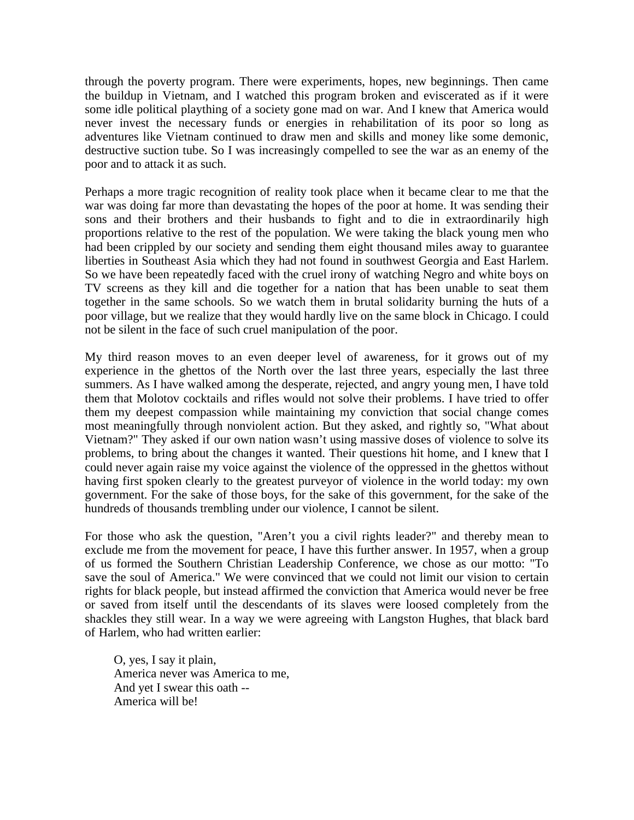through the poverty program. There were experiments, hopes, new beginnings. Then came the buildup in Vietnam, and I watched this program broken and eviscerated as if it were some idle political plaything of a society gone mad on war. And I knew that America would never invest the necessary funds or energies in rehabilitation of its poor so long as adventures like Vietnam continued to draw men and skills and money like some demonic, destructive suction tube. So I was increasingly compelled to see the war as an enemy of the poor and to attack it as such.

Perhaps a more tragic recognition of reality took place when it became clear to me that the war was doing far more than devastating the hopes of the poor at home. It was sending their sons and their brothers and their husbands to fight and to die in extraordinarily high proportions relative to the rest of the population. We were taking the black young men who had been crippled by our society and sending them eight thousand miles away to guarantee liberties in Southeast Asia which they had not found in southwest Georgia and East Harlem. So we have been repeatedly faced with the cruel irony of watching Negro and white boys on TV screens as they kill and die together for a nation that has been unable to seat them together in the same schools. So we watch them in brutal solidarity burning the huts of a poor village, but we realize that they would hardly live on the same block in Chicago. I could not be silent in the face of such cruel manipulation of the poor.

My third reason moves to an even deeper level of awareness, for it grows out of my experience in the ghettos of the North over the last three years, especially the last three summers. As I have walked among the desperate, rejected, and angry young men, I have told them that Molotov cocktails and rifles would not solve their problems. I have tried to offer them my deepest compassion while maintaining my conviction that social change comes most meaningfully through nonviolent action. But they asked, and rightly so, "What about Vietnam?" They asked if our own nation wasn't using massive doses of violence to solve its problems, to bring about the changes it wanted. Their questions hit home, and I knew that I could never again raise my voice against the violence of the oppressed in the ghettos without having first spoken clearly to the greatest purveyor of violence in the world today: my own government. For the sake of those boys, for the sake of this government, for the sake of the hundreds of thousands trembling under our violence, I cannot be silent.

For those who ask the question, "Aren't you a civil rights leader?" and thereby mean to exclude me from the movement for peace, I have this further answer. In 1957, when a group of us formed the Southern Christian Leadership Conference, we chose as our motto: "To save the soul of America." We were convinced that we could not limit our vision to certain rights for black people, but instead affirmed the conviction that America would never be free or saved from itself until the descendants of its slaves were loosed completely from the shackles they still wear. In a way we were agreeing with Langston Hughes, that black bard of Harlem, who had written earlier:

O, yes, I say it plain, America never was America to me, And yet I swear this oath -- America will be!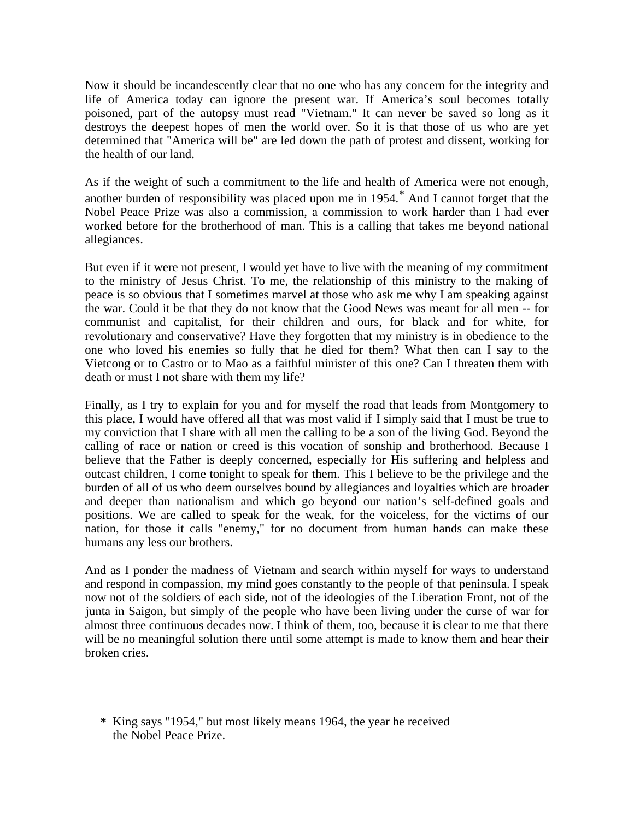Now it should be incandescently clear that no one who has any concern for the integrity and life of America today can ignore the present war. If America's soul becomes totally poisoned, part of the autopsy must read "Vietnam." It can never be saved so long as it destroys the deepest hopes of men the world over. So it is that those of us who are yet determined that "America will be" are led down the path of protest and dissent, working for the health of our land.

As if the weight of such a commitment to the life and health of America were not enough, another burden of responsibility was placed upon me in 1954.\* And I cannot forget that the Nobel Peace Prize was also a commission, a commission to work harder than I had ever worked before for the brotherhood of man. This is a calling that takes me beyond national allegiances.

But even if it were not present, I would yet have to live with the meaning of my commitment to the ministry of Jesus Christ. To me, the relationship of this ministry to the making of peace is so obvious that I sometimes marvel at those who ask me why I am speaking against the war. Could it be that they do not know that the Good News was meant for all men -- for communist and capitalist, for their children and ours, for black and for white, for revolutionary and conservative? Have they forgotten that my ministry is in obedience to the one who loved his enemies so fully that he died for them? What then can I say to the Vietcong or to Castro or to Mao as a faithful minister of this one? Can I threaten them with death or must I not share with them my life?

Finally, as I try to explain for you and for myself the road that leads from Montgomery to this place, I would have offered all that was most valid if I simply said that I must be true to my conviction that I share with all men the calling to be a son of the living God. Beyond the calling of race or nation or creed is this vocation of sonship and brotherhood. Because I believe that the Father is deeply concerned, especially for His suffering and helpless and outcast children, I come tonight to speak for them. This I believe to be the privilege and the burden of all of us who deem ourselves bound by allegiances and loyalties which are broader and deeper than nationalism and which go beyond our nation's self-defined goals and positions. We are called to speak for the weak, for the voiceless, for the victims of our nation, for those it calls "enemy," for no document from human hands can make these humans any less our brothers.

And as I ponder the madness of Vietnam and search within myself for ways to understand and respond in compassion, my mind goes constantly to the people of that peninsula. I speak now not of the soldiers of each side, not of the ideologies of the Liberation Front, not of the junta in Saigon, but simply of the people who have been living under the curse of war for almost three continuous decades now. I think of them, too, because it is clear to me that there will be no meaningful solution there until some attempt is made to know them and hear their broken cries.

**\*** King says "1954," but most likely means 1964, the year he received the Nobel Peace Prize.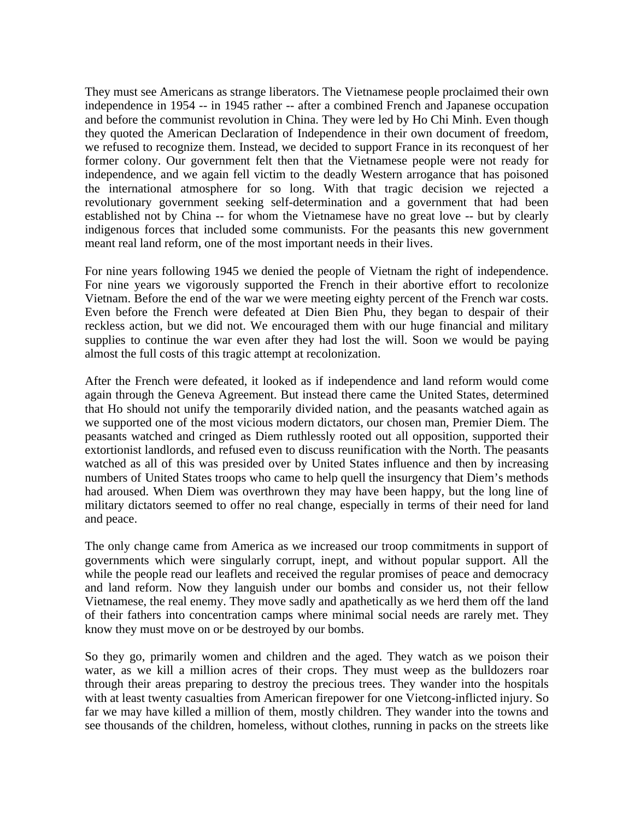They must see Americans as strange liberators. The Vietnamese people proclaimed their own independence in 1954 -- in 1945 rather -- after a combined French and Japanese occupation and before the communist revolution in China. They were led by Ho Chi Minh. Even though they quoted the American Declaration of Independence in their own document of freedom, we refused to recognize them. Instead, we decided to support France in its reconquest of her former colony. Our government felt then that the Vietnamese people were not ready for independence, and we again fell victim to the deadly Western arrogance that has poisoned the international atmosphere for so long. With that tragic decision we rejected a revolutionary government seeking self-determination and a government that had been established not by China -- for whom the Vietnamese have no great love -- but by clearly indigenous forces that included some communists. For the peasants this new government meant real land reform, one of the most important needs in their lives.

For nine years following 1945 we denied the people of Vietnam the right of independence. For nine years we vigorously supported the French in their abortive effort to recolonize Vietnam. Before the end of the war we were meeting eighty percent of the French war costs. Even before the French were defeated at Dien Bien Phu, they began to despair of their reckless action, but we did not. We encouraged them with our huge financial and military supplies to continue the war even after they had lost the will. Soon we would be paying almost the full costs of this tragic attempt at recolonization.

After the French were defeated, it looked as if independence and land reform would come again through the Geneva Agreement. But instead there came the United States, determined that Ho should not unify the temporarily divided nation, and the peasants watched again as we supported one of the most vicious modern dictators, our chosen man, Premier Diem. The peasants watched and cringed as Diem ruthlessly rooted out all opposition, supported their extortionist landlords, and refused even to discuss reunification with the North. The peasants watched as all of this was presided over by United States influence and then by increasing numbers of United States troops who came to help quell the insurgency that Diem's methods had aroused. When Diem was overthrown they may have been happy, but the long line of military dictators seemed to offer no real change, especially in terms of their need for land and peace.

The only change came from America as we increased our troop commitments in support of governments which were singularly corrupt, inept, and without popular support. All the while the people read our leaflets and received the regular promises of peace and democracy and land reform. Now they languish under our bombs and consider us, not their fellow Vietnamese, the real enemy. They move sadly and apathetically as we herd them off the land of their fathers into concentration camps where minimal social needs are rarely met. They know they must move on or be destroyed by our bombs.

So they go, primarily women and children and the aged. They watch as we poison their water, as we kill a million acres of their crops. They must weep as the bulldozers roar through their areas preparing to destroy the precious trees. They wander into the hospitals with at least twenty casualties from American firepower for one Vietcong-inflicted injury. So far we may have killed a million of them, mostly children. They wander into the towns and see thousands of the children, homeless, without clothes, running in packs on the streets like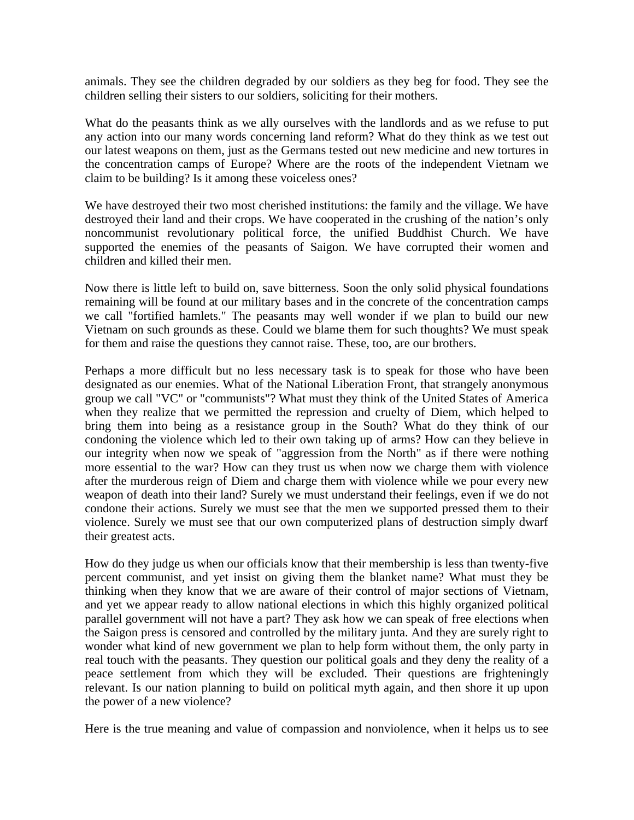animals. They see the children degraded by our soldiers as they beg for food. They see the children selling their sisters to our soldiers, soliciting for their mothers.

What do the peasants think as we ally ourselves with the landlords and as we refuse to put any action into our many words concerning land reform? What do they think as we test out our latest weapons on them, just as the Germans tested out new medicine and new tortures in the concentration camps of Europe? Where are the roots of the independent Vietnam we claim to be building? Is it among these voiceless ones?

We have destroyed their two most cherished institutions: the family and the village. We have destroyed their land and their crops. We have cooperated in the crushing of the nation's only noncommunist revolutionary political force, the unified Buddhist Church. We have supported the enemies of the peasants of Saigon. We have corrupted their women and children and killed their men.

Now there is little left to build on, save bitterness. Soon the only solid physical foundations remaining will be found at our military bases and in the concrete of the concentration camps we call "fortified hamlets." The peasants may well wonder if we plan to build our new Vietnam on such grounds as these. Could we blame them for such thoughts? We must speak for them and raise the questions they cannot raise. These, too, are our brothers.

Perhaps a more difficult but no less necessary task is to speak for those who have been designated as our enemies. What of the National Liberation Front, that strangely anonymous group we call "VC" or "communists"? What must they think of the United States of America when they realize that we permitted the repression and cruelty of Diem, which helped to bring them into being as a resistance group in the South? What do they think of our condoning the violence which led to their own taking up of arms? How can they believe in our integrity when now we speak of "aggression from the North" as if there were nothing more essential to the war? How can they trust us when now we charge them with violence after the murderous reign of Diem and charge them with violence while we pour every new weapon of death into their land? Surely we must understand their feelings, even if we do not condone their actions. Surely we must see that the men we supported pressed them to their violence. Surely we must see that our own computerized plans of destruction simply dwarf their greatest acts.

How do they judge us when our officials know that their membership is less than twenty-five percent communist, and yet insist on giving them the blanket name? What must they be thinking when they know that we are aware of their control of major sections of Vietnam, and yet we appear ready to allow national elections in which this highly organized political parallel government will not have a part? They ask how we can speak of free elections when the Saigon press is censored and controlled by the military junta. And they are surely right to wonder what kind of new government we plan to help form without them, the only party in real touch with the peasants. They question our political goals and they deny the reality of a peace settlement from which they will be excluded. Their questions are frighteningly relevant. Is our nation planning to build on political myth again, and then shore it up upon the power of a new violence?

Here is the true meaning and value of compassion and nonviolence, when it helps us to see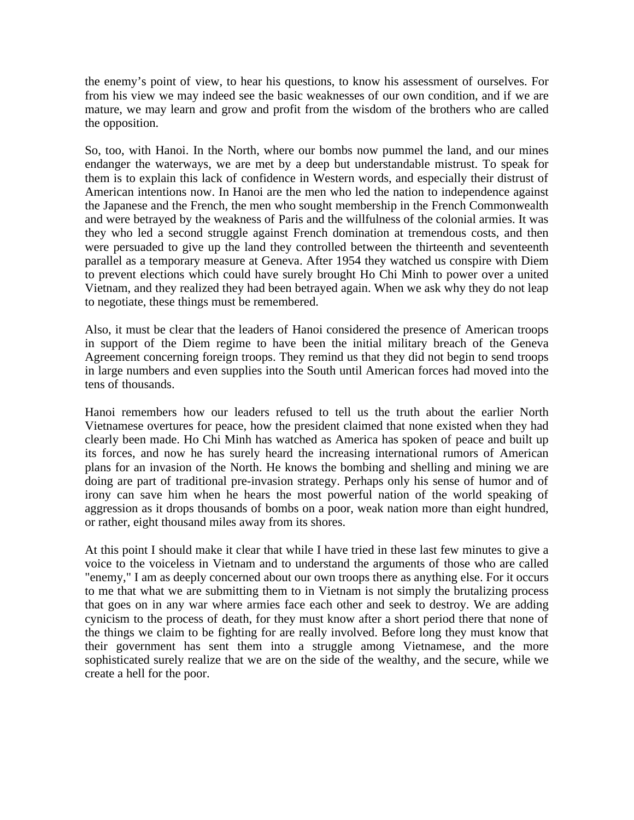the enemy's point of view, to hear his questions, to know his assessment of ourselves. For from his view we may indeed see the basic weaknesses of our own condition, and if we are mature, we may learn and grow and profit from the wisdom of the brothers who are called the opposition.

So, too, with Hanoi. In the North, where our bombs now pummel the land, and our mines endanger the waterways, we are met by a deep but understandable mistrust. To speak for them is to explain this lack of confidence in Western words, and especially their distrust of American intentions now. In Hanoi are the men who led the nation to independence against the Japanese and the French, the men who sought membership in the French Commonwealth and were betrayed by the weakness of Paris and the willfulness of the colonial armies. It was they who led a second struggle against French domination at tremendous costs, and then were persuaded to give up the land they controlled between the thirteenth and seventeenth parallel as a temporary measure at Geneva. After 1954 they watched us conspire with Diem to prevent elections which could have surely brought Ho Chi Minh to power over a united Vietnam, and they realized they had been betrayed again. When we ask why they do not leap to negotiate, these things must be remembered.

Also, it must be clear that the leaders of Hanoi considered the presence of American troops in support of the Diem regime to have been the initial military breach of the Geneva Agreement concerning foreign troops. They remind us that they did not begin to send troops in large numbers and even supplies into the South until American forces had moved into the tens of thousands.

Hanoi remembers how our leaders refused to tell us the truth about the earlier North Vietnamese overtures for peace, how the president claimed that none existed when they had clearly been made. Ho Chi Minh has watched as America has spoken of peace and built up its forces, and now he has surely heard the increasing international rumors of American plans for an invasion of the North. He knows the bombing and shelling and mining we are doing are part of traditional pre-invasion strategy. Perhaps only his sense of humor and of irony can save him when he hears the most powerful nation of the world speaking of aggression as it drops thousands of bombs on a poor, weak nation more than eight hundred, or rather, eight thousand miles away from its shores.

At this point I should make it clear that while I have tried in these last few minutes to give a voice to the voiceless in Vietnam and to understand the arguments of those who are called "enemy," I am as deeply concerned about our own troops there as anything else. For it occurs to me that what we are submitting them to in Vietnam is not simply the brutalizing process that goes on in any war where armies face each other and seek to destroy. We are adding cynicism to the process of death, for they must know after a short period there that none of the things we claim to be fighting for are really involved. Before long they must know that their government has sent them into a struggle among Vietnamese, and the more sophisticated surely realize that we are on the side of the wealthy, and the secure, while we create a hell for the poor.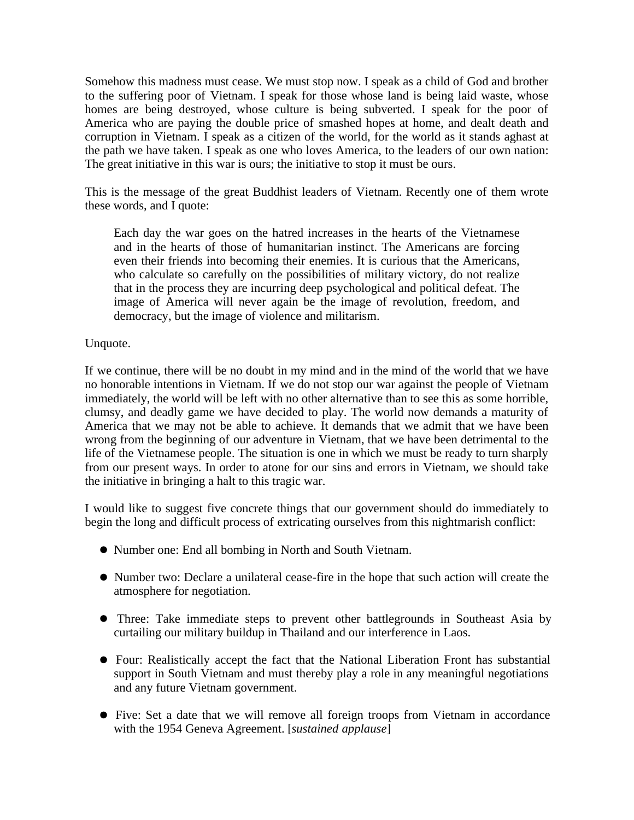Somehow this madness must cease. We must stop now. I speak as a child of God and brother to the suffering poor of Vietnam. I speak for those whose land is being laid waste, whose homes are being destroyed, whose culture is being subverted. I speak for the poor of America who are paying the double price of smashed hopes at home, and dealt death and corruption in Vietnam. I speak as a citizen of the world, for the world as it stands aghast at the path we have taken. I speak as one who loves America, to the leaders of our own nation: The great initiative in this war is ours; the initiative to stop it must be ours.

This is the message of the great Buddhist leaders of Vietnam. Recently one of them wrote these words, and I quote:

Each day the war goes on the hatred increases in the hearts of the Vietnamese and in the hearts of those of humanitarian instinct. The Americans are forcing even their friends into becoming their enemies. It is curious that the Americans, who calculate so carefully on the possibilities of military victory, do not realize that in the process they are incurring deep psychological and political defeat. The image of America will never again be the image of revolution, freedom, and democracy, but the image of violence and militarism.

Unquote.

If we continue, there will be no doubt in my mind and in the mind of the world that we have no honorable intentions in Vietnam. If we do not stop our war against the people of Vietnam immediately, the world will be left with no other alternative than to see this as some horrible, clumsy, and deadly game we have decided to play. The world now demands a maturity of America that we may not be able to achieve. It demands that we admit that we have been wrong from the beginning of our adventure in Vietnam, that we have been detrimental to the life of the Vietnamese people. The situation is one in which we must be ready to turn sharply from our present ways. In order to atone for our sins and errors in Vietnam, we should take the initiative in bringing a halt to this tragic war.

I would like to suggest five concrete things that our government should do immediately to begin the long and difficult process of extricating ourselves from this nightmarish conflict:

- Number one: End all bombing in North and South Vietnam.
- Number two: Declare a unilateral cease-fire in the hope that such action will create the atmosphere for negotiation.
- Three: Take immediate steps to prevent other battlegrounds in Southeast Asia by curtailing our military buildup in Thailand and our interference in Laos.
- Four: Realistically accept the fact that the National Liberation Front has substantial support in South Vietnam and must thereby play a role in any meaningful negotiations and any future Vietnam government.
- Five: Set a date that we will remove all foreign troops from Vietnam in accordance with the 1954 Geneva Agreement. [*sustained applause*]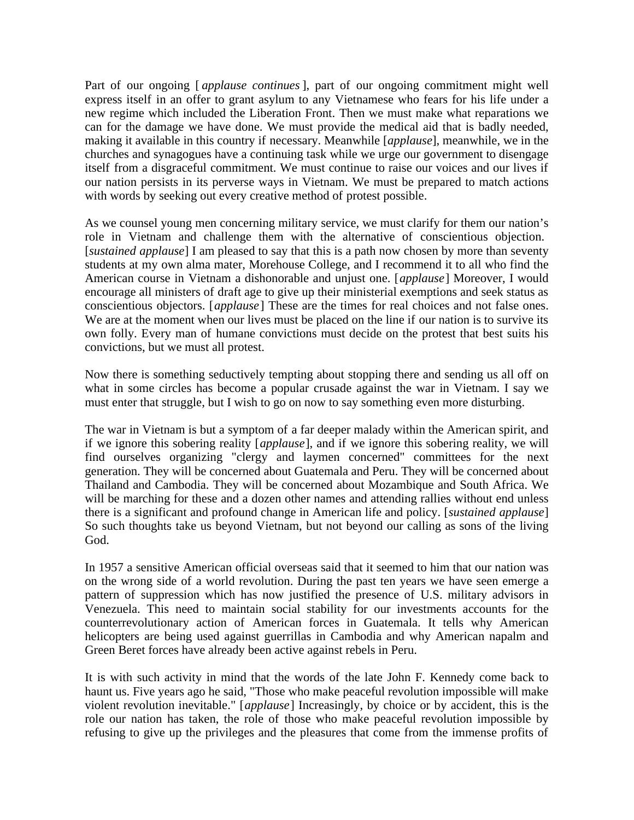Part of our ongoing [ *applause continues*], part of our ongoing commitment might well express itself in an offer to grant asylum to any Vietnamese who fears for his life under a new regime which included the Liberation Front. Then we must make what reparations we can for the damage we have done. We must provide the medical aid that is badly needed, making it available in this country if necessary. Meanwhile [*applause*], meanwhile, we in the churches and synagogues have a continuing task while we urge our government to disengage itself from a disgraceful commitment. We must continue to raise our voices and our lives if our nation persists in its perverse ways in Vietnam. We must be prepared to match actions with words by seeking out every creative method of protest possible.

As we counsel young men concerning military service, we must clarify for them our nation's role in Vietnam and challenge them with the alternative of conscientious objection. [*sustained applause*] I am pleased to say that this is a path now chosen by more than seventy students at my own alma mater, Morehouse College, and I recommend it to all who find the American course in Vietnam a dishonorable and unjust one. [*applause*] Moreover, I would encourage all ministers of draft age to give up their ministerial exemptions and seek status as conscientious objectors. [*applause*] These are the times for real choices and not false ones. We are at the moment when our lives must be placed on the line if our nation is to survive its own folly. Every man of humane convictions must decide on the protest that best suits his convictions, but we must all protest.

Now there is something seductively tempting about stopping there and sending us all off on what in some circles has become a popular crusade against the war in Vietnam. I say we must enter that struggle, but I wish to go on now to say something even more disturbing.

The war in Vietnam is but a symptom of a far deeper malady within the American spirit, and if we ignore this sobering reality [*applause*], and if we ignore this sobering reality, we will find ourselves organizing "clergy and laymen concerned" committees for the next generation. They will be concerned about Guatemala and Peru. They will be concerned about Thailand and Cambodia. They will be concerned about Mozambique and South Africa. We will be marching for these and a dozen other names and attending rallies without end unless there is a significant and profound change in American life and policy. [*sustained applause*] So such thoughts take us beyond Vietnam, but not beyond our calling as sons of the living God.

In 1957 a sensitive American official overseas said that it seemed to him that our nation was on the wrong side of a world revolution. During the past ten years we have seen emerge a pattern of suppression which has now justified the presence of U.S. military advisors in Venezuela. This need to maintain social stability for our investments accounts for the counterrevolutionary action of American forces in Guatemala. It tells why American helicopters are being used against guerrillas in Cambodia and why American napalm and Green Beret forces have already been active against rebels in Peru.

It is with such activity in mind that the words of the late John F. Kennedy come back to haunt us. Five years ago he said, "Those who make peaceful revolution impossible will make violent revolution inevitable." [*applause*] Increasingly, by choice or by accident, this is the role our nation has taken, the role of those who make peaceful revolution impossible by refusing to give up the privileges and the pleasures that come from the immense profits of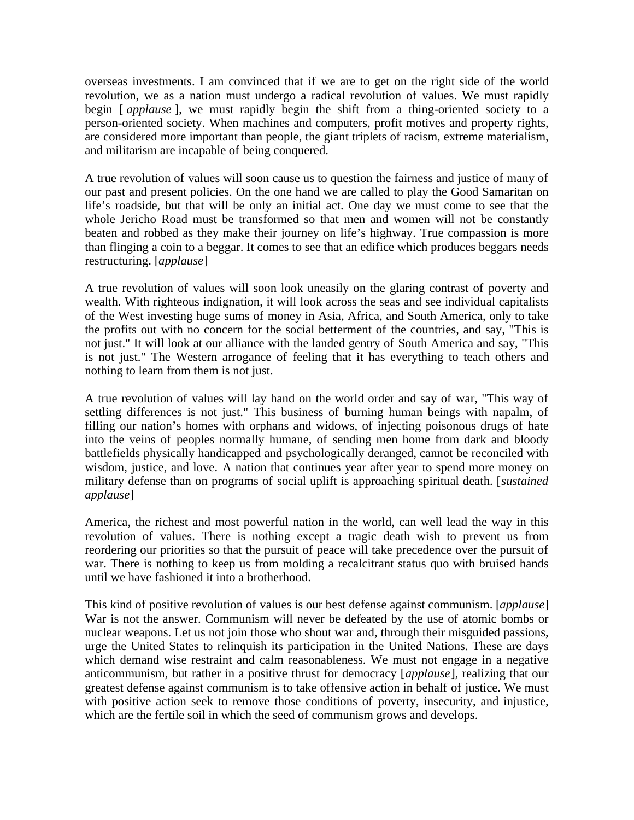overseas investments. I am convinced that if we are to get on the right side of the world revolution, we as a nation must undergo a radical revolution of values. We must rapidly begin [ *applause* ], we must rapidly begin the shift from a thing-oriented society to a person-oriented society. When machines and computers, profit motives and property rights, are considered more important than people, the giant triplets of racism, extreme materialism, and militarism are incapable of being conquered.

A true revolution of values will soon cause us to question the fairness and justice of many of our past and present policies. On the one hand we are called to play the Good Samaritan on life's roadside, but that will be only an initial act. One day we must come to see that the whole Jericho Road must be transformed so that men and women will not be constantly beaten and robbed as they make their journey on life's highway. True compassion is more than flinging a coin to a beggar. It comes to see that an edifice which produces beggars needs restructuring. [*applause*]

A true revolution of values will soon look uneasily on the glaring contrast of poverty and wealth. With righteous indignation, it will look across the seas and see individual capitalists of the West investing huge sums of money in Asia, Africa, and South America, only to take the profits out with no concern for the social betterment of the countries, and say, "This is not just." It will look at our alliance with the landed gentry of South America and say, "This is not just." The Western arrogance of feeling that it has everything to teach others and nothing to learn from them is not just.

A true revolution of values will lay hand on the world order and say of war, "This way of settling differences is not just." This business of burning human beings with napalm, of filling our nation's homes with orphans and widows, of injecting poisonous drugs of hate into the veins of peoples normally humane, of sending men home from dark and bloody battlefields physically handicapped and psychologically deranged, cannot be reconciled with wisdom, justice, and love. A nation that continues year after year to spend more money on military defense than on programs of social uplift is approaching spiritual death. [*sustained applause*]

America, the richest and most powerful nation in the world, can well lead the way in this revolution of values. There is nothing except a tragic death wish to prevent us from reordering our priorities so that the pursuit of peace will take precedence over the pursuit of war. There is nothing to keep us from molding a recalcitrant status quo with bruised hands until we have fashioned it into a brotherhood.

This kind of positive revolution of values is our best defense against communism. [*applause*] War is not the answer. Communism will never be defeated by the use of atomic bombs or nuclear weapons. Let us not join those who shout war and, through their misguided passions, urge the United States to relinquish its participation in the United Nations. These are days which demand wise restraint and calm reasonableness. We must not engage in a negative anticommunism, but rather in a positive thrust for democracy [*applause*], realizing that our greatest defense against communism is to take offensive action in behalf of justice. We must with positive action seek to remove those conditions of poverty, insecurity, and injustice, which are the fertile soil in which the seed of communism grows and develops.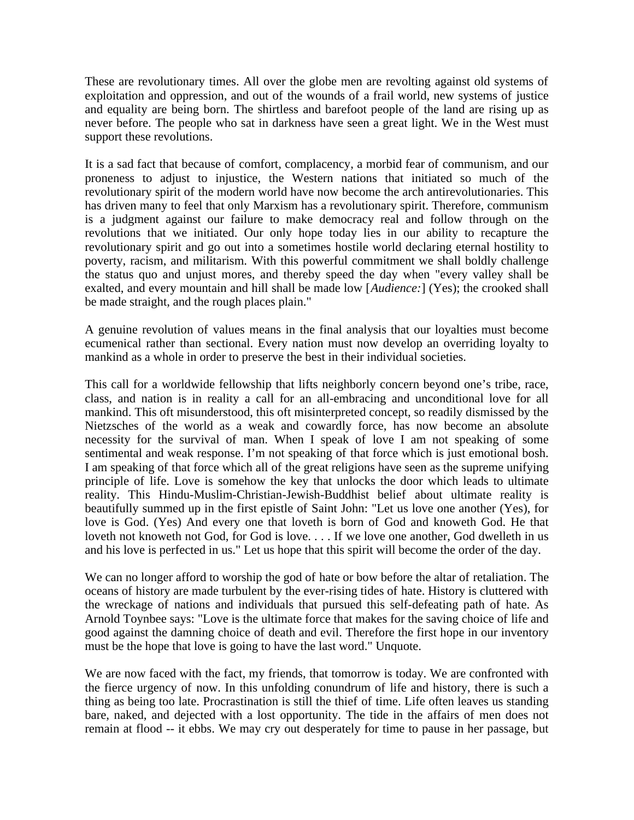These are revolutionary times. All over the globe men are revolting against old systems of exploitation and oppression, and out of the wounds of a frail world, new systems of justice and equality are being born. The shirtless and barefoot people of the land are rising up as never before. The people who sat in darkness have seen a great light. We in the West must support these revolutions.

It is a sad fact that because of comfort, complacency, a morbid fear of communism, and our proneness to adjust to injustice, the Western nations that initiated so much of the revolutionary spirit of the modern world have now become the arch antirevolutionaries. This has driven many to feel that only Marxism has a revolutionary spirit. Therefore, communism is a judgment against our failure to make democracy real and follow through on the revolutions that we initiated. Our only hope today lies in our ability to recapture the revolutionary spirit and go out into a sometimes hostile world declaring eternal hostility to poverty, racism, and militarism. With this powerful commitment we shall boldly challenge the status quo and unjust mores, and thereby speed the day when "every valley shall be exalted, and every mountain and hill shall be made low [*Audience:*] (Yes); the crooked shall be made straight, and the rough places plain."

A genuine revolution of values means in the final analysis that our loyalties must become ecumenical rather than sectional. Every nation must now develop an overriding loyalty to mankind as a whole in order to preserve the best in their individual societies.

This call for a worldwide fellowship that lifts neighborly concern beyond one's tribe, race, class, and nation is in reality a call for an all-embracing and unconditional love for all mankind. This oft misunderstood, this oft misinterpreted concept, so readily dismissed by the Nietzsches of the world as a weak and cowardly force, has now become an absolute necessity for the survival of man. When I speak of love I am not speaking of some sentimental and weak response. I'm not speaking of that force which is just emotional bosh. I am speaking of that force which all of the great religions have seen as the supreme unifying principle of life. Love is somehow the key that unlocks the door which leads to ultimate reality. This Hindu-Muslim-Christian-Jewish-Buddhist belief about ultimate reality is beautifully summed up in the first epistle of Saint John: "Let us love one another (Yes), for love is God. (Yes) And every one that loveth is born of God and knoweth God. He that loveth not knoweth not God, for God is love. . . . If we love one another, God dwelleth in us and his love is perfected in us." Let us hope that this spirit will become the order of the day.

We can no longer afford to worship the god of hate or bow before the altar of retaliation. The oceans of history are made turbulent by the ever-rising tides of hate. History is cluttered with the wreckage of nations and individuals that pursued this self-defeating path of hate. As Arnold Toynbee says: "Love is the ultimate force that makes for the saving choice of life and good against the damning choice of death and evil. Therefore the first hope in our inventory must be the hope that love is going to have the last word." Unquote.

We are now faced with the fact, my friends, that tomorrow is today. We are confronted with the fierce urgency of now. In this unfolding conundrum of life and history, there is such a thing as being too late. Procrastination is still the thief of time. Life often leaves us standing bare, naked, and dejected with a lost opportunity. The tide in the affairs of men does not remain at flood -- it ebbs. We may cry out desperately for time to pause in her passage, but